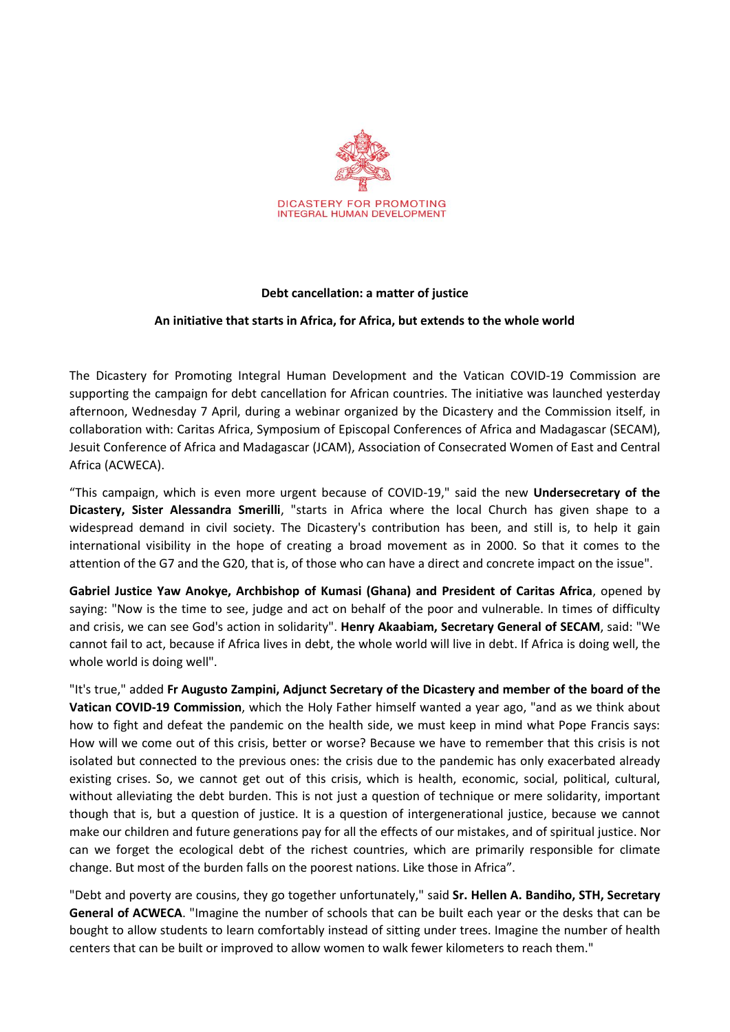

## **Debt cancellation: a matter of justice**

## **An initiative that starts in Africa, for Africa, but extends to the whole world**

The Dicastery for Promoting Integral Human Development and the Vatican COVID-19 Commission are supporting the campaign for debt cancellation for African countries. The initiative was launched yesterday afternoon, Wednesday 7 April, during a webinar organized by the Dicastery and the Commission itself, in collaboration with: Caritas Africa, Symposium of Episcopal Conferences of Africa and Madagascar (SECAM), Jesuit Conference of Africa and Madagascar (JCAM), Association of Consecrated Women of East and Central Africa (ACWECA).

"This campaign, which is even more urgent because of COVID-19," said the new **Undersecretary of the Dicastery, Sister Alessandra Smerilli**, "starts in Africa where the local Church has given shape to a widespread demand in civil society. The Dicastery's contribution has been, and still is, to help it gain international visibility in the hope of creating a broad movement as in 2000. So that it comes to the attention of the G7 and the G20, that is, of those who can have a direct and concrete impact on the issue".

**Gabriel Justice Yaw Anokye, Archbishop of Kumasi (Ghana) and President of Caritas Africa**, opened by saying: "Now is the time to see, judge and act on behalf of the poor and vulnerable. In times of difficulty and crisis, we can see God's action in solidarity". **Henry Akaabiam, Secretary General of SECAM**, said: "We cannot fail to act, because if Africa lives in debt, the whole world will live in debt. If Africa is doing well, the whole world is doing well".

"It's true," added **Fr Augusto Zampini, Adjunct Secretary of the Dicastery and member of the board of the Vatican COVID-19 Commission**, which the Holy Father himself wanted a year ago, "and as we think about how to fight and defeat the pandemic on the health side, we must keep in mind what Pope Francis says: How will we come out of this crisis, better or worse? Because we have to remember that this crisis is not isolated but connected to the previous ones: the crisis due to the pandemic has only exacerbated already existing crises. So, we cannot get out of this crisis, which is health, economic, social, political, cultural, without alleviating the debt burden. This is not just a question of technique or mere solidarity, important though that is, but a question of justice. It is a question of intergenerational justice, because we cannot make our children and future generations pay for all the effects of our mistakes, and of spiritual justice. Nor can we forget the ecological debt of the richest countries, which are primarily responsible for climate change. But most of the burden falls on the poorest nations. Like those in Africa".

"Debt and poverty are cousins, they go together unfortunately," said **Sr. Hellen A. Bandiho, STH, Secretary General of ACWECA**. "Imagine the number of schools that can be built each year or the desks that can be bought to allow students to learn comfortably instead of sitting under trees. Imagine the number of health centers that can be built or improved to allow women to walk fewer kilometers to reach them."